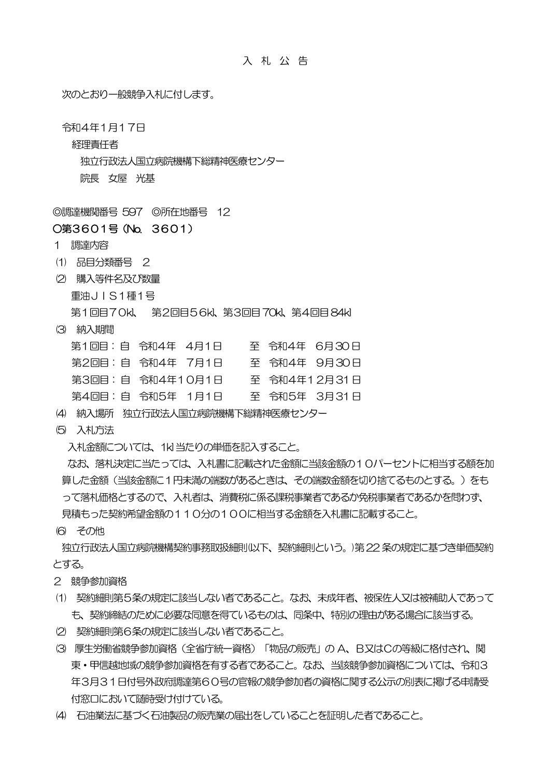入 札 公 告

次のとおり一般競争入札に付します。

令和4年1月17日

経理責任者

独立行政法人国立病院機構下総精神医療センター

院長 女屋 光基

◎調達機関番号 597 ◎所在地番号 12

## ○第3601号(No. 3601)

- 1 調達内容
- (1) 品目分類番号 2
- (2) 購入等件名及び数量
	- 重油JIS1種1号

第1回目70kl、 第2回目56kl、第3回目70kl、第4回目84kl

(3) 納入期間

| 第1回目:自 令和4年 4月1日 |  |  | 至 令和4年 6月30日 |
|------------------|--|--|--------------|
| 第2回目:自 令和4年 7月1日 |  |  | 至 令和4年 9月30日 |
| 第3回目:自 令和4年10月1日 |  |  | 至 令和4年12月31日 |
| 第4回目:自 令和5年 1月1日 |  |  | 至 令和5年 3月31日 |
|                  |  |  |              |

- (4) 納入場所 独立行政法人国立病院機構下総精神医療センター
- (5) 入札方法

入札金額については、1kl当たりの単価を記入すること。

 なお、落札決定に当たっては、入札書に記載された金額に当該金額の10パーセントに相当する額を加 算した金額(当該金額に1円未満の端数があるときは、その端数金額を切り捨てるものとする。) をも って落札価格とするので、入札者は、消費税に係る課税事業者であるか免税事業者であるかを問わず、 見積もった契約希望金額の110分の100に相当する金額を入札書に記載すること。

(6) その他

 独立行政法人国立病院機構契約事務取扱細則(以下、契約細則という。)第22条の規定に基づき単価契約 とする。

- 2 競争参加資格
- (1) 契約細則第5条の規定に該当しない者であること。なお、未成年者、被保佐人又は被補助人であって も、契約締結のために必要な同意を得ているものは、同条中、特別の理由がある場合に該当する。
- (2) 契約細則第6条の規定に該当しない者であること。
- (3) 厚生労働省競争参加資格(全省庁統一資格)「物品の販売」の A、B又はCの等級に格付され、関 東・甲信越地域の競争参加資格を有する者であること。なお、当該競争参加資格については、令和3 年3月31日付号外政府調達第60号の官報の競争参加者の資格に関する公示の別表に掲げる申請受 付窓口において随時受け付けている。
- (4) 石油業法に基づく石油製品の販売業の届出をしていることを証明した者であること。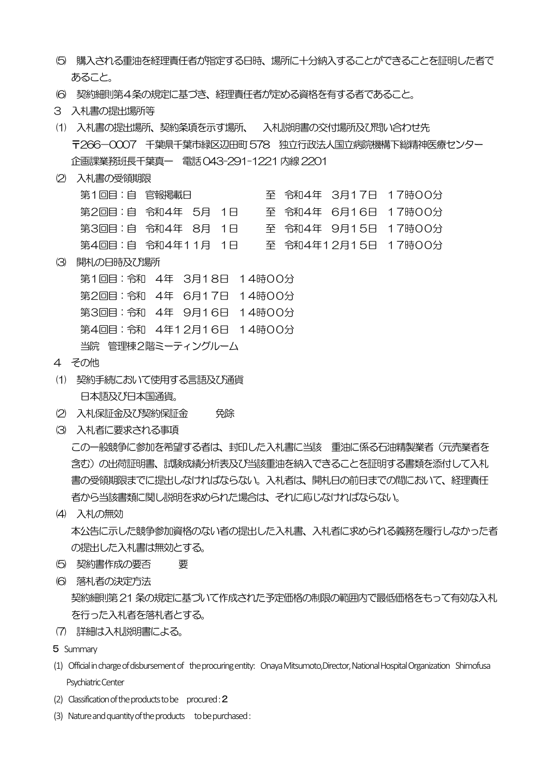- (5) 購入される重油を経理責任者が指定する日時、場所に十分納入することができることを証明した者で あること。
- (6) 契約細則第4条の規定に基づき、経理責任者が定める資格を有する者であること。
- 3 入札書の提出場所等
- (1) 入札書の提出場所、契約条項を示す場所、 入札説明書の交付場所及び問い合わせ先 〒266-0007 千葉県千葉市緑区辺田町578 独立行政法人国立病院機構下総精神医療センター 企画課業務班長千葉真一 電話043-291-1221内線2201
- (2) 入札書の受領期限

| 第1回目:自 官報掲載日      |  |  |  |  |  |  | 至 令和4年 3月17日 17時00分 |  |  |  |
|-------------------|--|--|--|--|--|--|---------------------|--|--|--|
| 第2回目:自 令和4年 5月 1日 |  |  |  |  |  |  | 至 令和4年 6月16日 17時00分 |  |  |  |
| 第3回目:自 令和4年 8月 1日 |  |  |  |  |  |  | 至 令和4年 9月15日 17時00分 |  |  |  |
| 第4回目:自 令和4年11月 1日 |  |  |  |  |  |  | 至 令和4年12月15日 17時00分 |  |  |  |
|                   |  |  |  |  |  |  |                     |  |  |  |

(3) 開札の日時及び場所

第1回目:令和 4年 3月18日 14時00分 第2回目:令和 4年 6月17日 14時00分 第3回目:令和 4年 9月16日 14時00分 第4回目:令和 4年12月16日 14時00分 当院 管理棟2階ミーティングルーム

- 4 その他
- (1) 契約手続において使用する言語及び通貨 日本語及び日本国通貨。
- (2) 入札保証金及び契約保証金 免除
- (3) 入札者に要求される事項

 この一般競争に参加を希望する者は、封印した入札書に当該 重油に係る石油精製業者(元売業者を 含む)の出荷証明書、試験成績分析表及び当該重油を納入できることを証明する書類を添付して入札 書の受領期限までに提出しなければならない。入札者は、開札日の前日までの間において、経理責任 者から当該書類に関し説明を求められた場合は、それに応じなければならない。

(4) 入札の無効

 本公告に示した競争参加資格のない者の提出した入札書、入札者に求められる義務を履行しなかった者 の提出した入札書は無効とする。

- (5) 契約書作成の要否 要
- (6) 落札者の決定方法 契約細則第21条の規定に基づいて作成された予定価格の制限の範囲内で最低価格をもって有効な入札 を行った入札者を落札者とする。
- (7) 詳細は入札説明書による。
- 5 Summary
- (1) Official in charge of disbursement of the procuring entity: Onaya Mitsumoto,Director, National Hospital Organization Shimofusa Psychiatric Center
- (2) Classification of the products to be procured :  $2$
- (3) Nature and quantity of the products to be purchased :